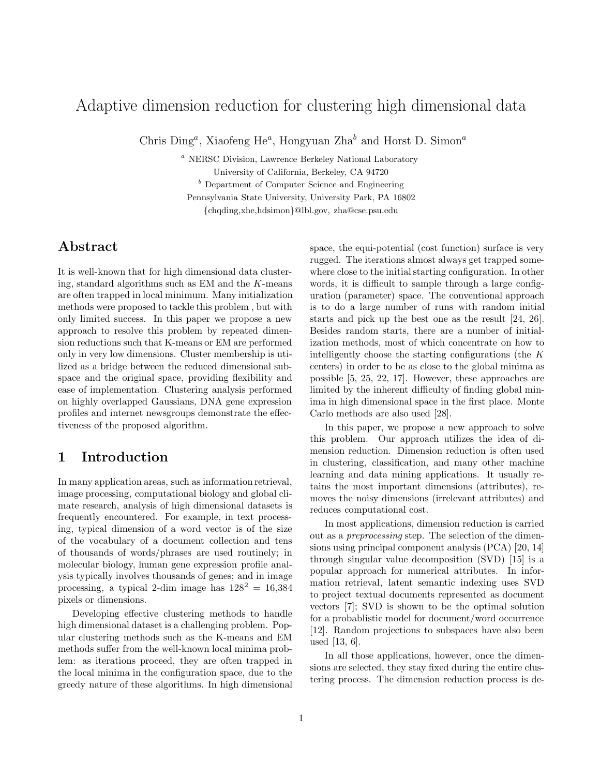# Adaptive dimension reduction for clustering high dimensional data

Chris Ding<sup>a</sup>, Xiaofeng He<sup>a</sup>, Hongyuan Zha<sup>b</sup> and Horst D. Simon<sup>a</sup>

<sup>a</sup> NERSC Division, Lawrence Berkeley National Laboratory

University of California, Berkeley, CA 94720

 $<sup>b</sup>$  Department of Computer Science and Engineering</sup> Pennsylvania State University, University Park, PA 16802 {chqding,xhe,hdsimon}@lbl.gov, zha@cse.psu.edu

# Abstract

It is well-known that for high dimensional data clustering, standard algorithms such as EM and the K-means are often trapped in local minimum. Many initialization methods were proposed to tackle this problem , but with only limited success. In this paper we propose a new approach to resolve this problem by repeated dimension reductions such that K-means or EM are performed only in very low dimensions. Cluster membership is utilized as a bridge between the reduced dimensional subspace and the original space, providing flexibility and ease of implementation. Clustering analysis performed on highly overlapped Gaussians, DNA gene expression profiles and internet newsgroups demonstrate the effectiveness of the proposed algorithm.

# 1 Introduction

In many application areas, such as information retrieval, image processing, computational biology and global climate research, analysis of high dimensional datasets is frequently encountered. For example, in text processing, typical dimension of a word vector is of the size of the vocabulary of a document collection and tens of thousands of words/phrases are used routinely; in molecular biology, human gene expression profile analysis typically involves thousands of genes; and in image processing, a typical 2-dim image has  $128^2 = 16,384$ pixels or dimensions.

Developing effective clustering methods to handle high dimensional dataset is a challenging problem. Popular clustering methods such as the K-means and EM methods suffer from the well-known local minima problem: as iterations proceed, they are often trapped in the local minima in the configuration space, due to the greedy nature of these algorithms. In high dimensional

space, the equi-potential (cost function) surface is very rugged. The iterations almost always get trapped somewhere close to the initial starting configuration. In other words, it is difficult to sample through a large configuration (parameter) space. The conventional approach is to do a large number of runs with random initial starts and pick up the best one as the result [24, 26]. Besides random starts, there are a number of initialization methods, most of which concentrate on how to intelligently choose the starting configurations (the K centers) in order to be as close to the global minima as possible [5, 25, 22, 17]. However, these approaches are limited by the inherent difficulty of finding global minima in high dimensional space in the first place. Monte Carlo methods are also used [28].

In this paper, we propose a new approach to solve this problem. Our approach utilizes the idea of dimension reduction. Dimension reduction is often used in clustering, classification, and many other machine learning and data mining applications. It usually retains the most important dimensions (attributes), removes the noisy dimensions (irrelevant attributes) and reduces computational cost.

In most applications, dimension reduction is carried out as a preprocessing step. The selection of the dimensions using principal component analysis (PCA) [20, 14] through singular value decomposition (SVD) [15] is a popular approach for numerical attributes. In information retrieval, latent semantic indexing uses SVD to project textual documents represented as document vectors [7]; SVD is shown to be the optimal solution for a probablistic model for document/word occurrence [12]. Random projections to subspaces have also been used [13, 6].

In all those applications, however, once the dimensions are selected, they stay fixed during the entire clustering process. The dimension reduction process is de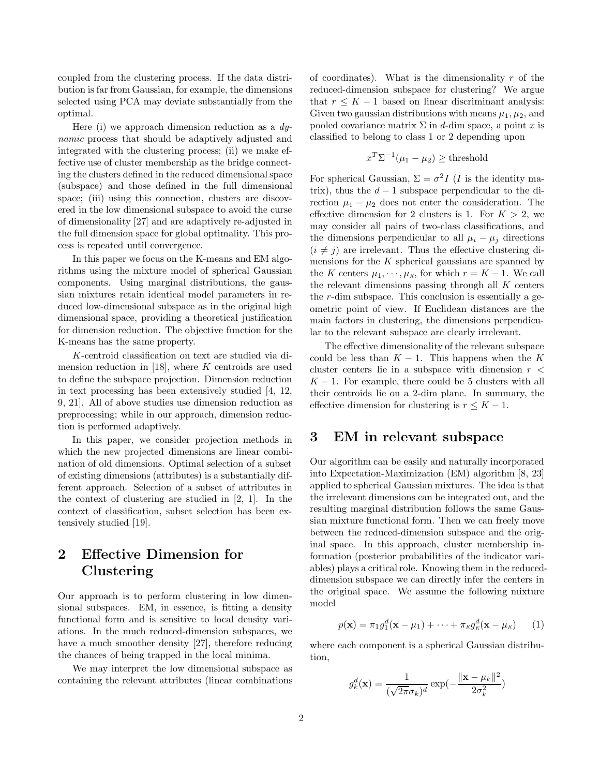coupled from the clustering process. If the data distribution is far from Gaussian, for example, the dimensions selected using PCA may deviate substantially from the optimal.

Here (i) we approach dimension reduction as a  $dy$ namic process that should be adaptively adjusted and integrated with the clustering process; (ii) we make effective use of cluster membership as the bridge connecting the clusters defined in the reduced dimensional space (subspace) and those defined in the full dimensional space; (iii) using this connection, clusters are discovered in the low dimensional subspace to avoid the curse of dimensionality [27] and are adaptively re-adjusted in the full dimension space for global optimality. This process is repeated until convergence.

In this paper we focus on the K-means and EM algorithms using the mixture model of spherical Gaussian components. Using marginal distributions, the gaussian mixtures retain identical model parameters in reduced low-dimensional subspace as in the original high dimensional space, providing a theoretical justification for dimension reduction. The objective function for the K-means has the same property.

K-centroid classification on text are studied via dimension reduction in  $[18]$ , where K centroids are used to define the subspace projection. Dimension reduction in text processing has been extensively studied [4, 12, 9, 21]. All of above studies use dimension reduction as preprocessing; while in our approach, dimension reduction is performed adaptively.

In this paper, we consider projection methods in which the new projected dimensions are linear combination of old dimensions. Optimal selection of a subset of existing dimensions (attributes) is a substantially different approach. Selection of a subset of attributes in the context of clustering are studied in [2, 1]. In the context of classification, subset selection has been extensively studied [19].

# 2 Effective Dimension for Clustering

Our approach is to perform clustering in low dimensional subspaces. EM, in essence, is fitting a density functional form and is sensitive to local density variations. In the much reduced-dimension subspaces, we have a much smoother density [27], therefore reducing the chances of being trapped in the local minima.

We may interpret the low dimensional subspace as containing the relevant attributes (linear combinations of coordinates). What is the dimensionality  $r$  of the reduced-dimension subspace for clustering? We argue that  $r \leq K - 1$  based on linear discriminant analysis: Given two gaussian distributions with means  $\mu_1, \mu_2$ , and pooled covariance matrix  $\Sigma$  in d-dim space, a point x is classified to belong to class 1 or 2 depending upon

$$
x^T \Sigma^{-1} (\mu_1 - \mu_2) \ge \text{threshold}
$$

For spherical Gaussian,  $\Sigma = \sigma^2 I$  (*I* is the identity matrix), thus the  $d-1$  subspace perpendicular to the direction  $\mu_1 - \mu_2$  does not enter the consideration. The effective dimension for 2 clusters is 1. For  $K > 2$ , we may consider all pairs of two-class classifications, and the dimensions perpendicular to all  $\mu_i - \mu_j$  directions  $(i \neq j)$  are irrelevant. Thus the effective clustering dimensions for the  $K$  spherical gaussians are spanned by the K centers  $\mu_1, \dots, \mu_K$ , for which  $r = K - 1$ . We call the relevant dimensions passing through all  $K$  centers the r-dim subspace. This conclusion is essentially a geometric point of view. If Euclidean distances are the main factors in clustering, the dimensions perpendicular to the relevant subspace are clearly irrelevant.

The effective dimensionality of the relevant subspace could be less than  $K - 1$ . This happens when the K cluster centers lie in a subspace with dimension  $r <$  $K - 1$ . For example, there could be 5 clusters with all their centroids lie on a 2-dim plane. In summary, the effective dimension for clustering is  $r \leq K - 1$ .

### 3 EM in relevant subspace

Our algorithm can be easily and naturally incorporated into Expectation-Maximization (EM) algorithm [8, 23] applied to spherical Gaussian mixtures. The idea is that the irrelevant dimensions can be integrated out, and the resulting marginal distribution follows the same Gaussian mixture functional form. Then we can freely move between the reduced-dimension subspace and the original space. In this approach, cluster membership information (posterior probabilities of the indicator variables) plays a critical role. Knowing them in the reduceddimension subspace we can directly infer the centers in the original space. We assume the following mixture model

$$
p(\mathbf{x}) = \pi_1 g_1^d(\mathbf{x} - \mu_1) + \dots + \pi_{\kappa} g_{\kappa}^d(\mathbf{x} - \mu_{\kappa}) \qquad (1)
$$

where each component is a spherical Gaussian distribution,

$$
g_k^d(\mathbf{x}) = \frac{1}{(\sqrt{2\pi}\sigma_k)^d} \exp(-\frac{\|\mathbf{x} - \mu_k\|^2}{2\sigma_k^2})
$$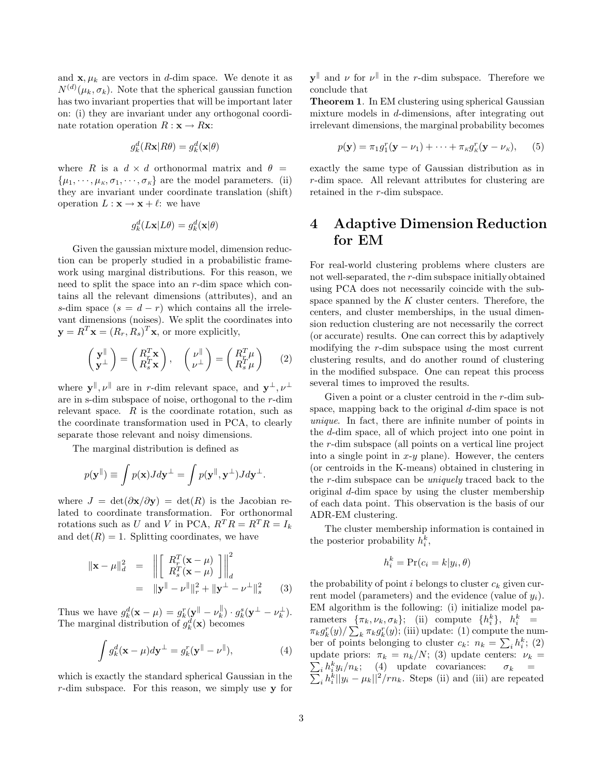and  $\mathbf{x}, \mu_k$  are vectors in d-dim space. We denote it as  $N^{(d)}(\mu_k, \sigma_k)$ . Note that the spherical gaussian function has two invariant properties that will be important later on: (i) they are invariant under any orthogonal coordinate rotation operation  $R : \mathbf{x} \to R\mathbf{x}$ :

$$
g_k^d(R\mathbf{x}|R\theta) = g_k^d(\mathbf{x}|\theta)
$$

where R is a  $d \times d$  orthonormal matrix and  $\theta =$  $\{\mu_1, \cdots, \mu_k, \sigma_1, \cdots, \sigma_k\}$  are the model parameters. (ii) they are invariant under coordinate translation (shift) operation  $L : \mathbf{x} \to \mathbf{x} + \ell$ : we have

$$
g_k^d(L\mathbf{x}|L\theta) = g_k^d(\mathbf{x}|\theta)
$$

Given the gaussian mixture model, dimension reduction can be properly studied in a probabilistic framework using marginal distributions. For this reason, we need to split the space into an r-dim space which contains all the relevant dimensions (attributes), and an s-dim space  $(s = d - r)$  which contains all the irrelevant dimensions (noises). We split the coordinates into  $\mathbf{y} = R^T \mathbf{x} = (R_r, R_s)^T \mathbf{x}$ , or more explicitly,

$$
\begin{pmatrix} \mathbf{y}^{\parallel} \\ \mathbf{y}^{\perp} \end{pmatrix} = \begin{pmatrix} R_T^T \mathbf{x} \\ R_T^T \mathbf{x} \end{pmatrix}, \quad \begin{pmatrix} \nu^{\parallel} \\ \nu^{\perp} \end{pmatrix} = \begin{pmatrix} R_T^T \mu \\ R_s^T \mu \end{pmatrix} \tag{2}
$$

where  $\mathbf{y}^{\parallel}, \nu^{\parallel}$  are in r-dim relevant space, and  $\mathbf{y}^{\perp}, \nu^{\perp}$ are in s-dim subspace of noise, orthogonal to the r-dim relevant space.  $R$  is the coordinate rotation, such as the coordinate transformation used in PCA, to clearly separate those relevant and noisy dimensions.

The marginal distribution is defined as

$$
p(\mathbf{y}^{\parallel}) \equiv \int p(\mathbf{x}) J d\mathbf{y}^{\perp} = \int p(\mathbf{y}^{\parallel}, \mathbf{y}^{\perp}) J d\mathbf{y}^{\perp}.
$$

where  $J = \det(\partial x/\partial y) = \det(R)$  is the Jacobian related to coordinate transformation. For orthonormal rotations such as U and V in PCA,  $R^T R = R^T R = I_k$ and  $\det(R) = 1$ . Splitting coordinates, we have

$$
\|\mathbf{x} - \mu\|_{d}^{2} = \left\| \begin{bmatrix} R_{r}^{T}(\mathbf{x} - \mu) \\ R_{s}^{T}(\mathbf{x} - \mu) \end{bmatrix} \right\|_{d}^{2}
$$

$$
= \|\mathbf{y}^{T} - \nu^{T}\|_{r}^{2} + \|\mathbf{y}^{T} - \nu^{T}\|_{s}^{2} \qquad (3)
$$

Thus we have  $g_k^d(\mathbf{x} - \mu) = g_k^r(\mathbf{y} - \nu_k^{\parallel})$  $(g_k^{\parallel}) \cdot g_k^s(\mathbf{y}^{\perp} - \nu_k^{\perp}).$ The marginal distribution of  $g_k^d(\mathbf{x})$  becomes

$$
\int g_k^d(\mathbf{x} - \mu) d\mathbf{y}^\perp = g_k^r(\mathbf{y}^\parallel - \nu^\parallel),\tag{4}
$$

which is exactly the standard spherical Gaussian in the  $r$ -dim subspace. For this reason, we simply use y for

 $\mathbf{y}^{\parallel}$  and  $\nu$  for  $\nu^{\parallel}$  in the r-dim subspace. Therefore we conclude that

Theorem 1. In EM clustering using spherical Gaussian mixture models in d-dimensions, after integrating out irrelevant dimensions, the marginal probability becomes

$$
p(\mathbf{y}) = \pi_1 g_1^r(\mathbf{y} - \nu_1) + \cdots + \pi_K g_K^r(\mathbf{y} - \nu_K), \qquad (5)
$$

exactly the same type of Gaussian distribution as in r-dim space. All relevant attributes for clustering are retained in the r-dim subspace.

# 4 Adaptive Dimension Reduction for EM

For real-world clustering problems where clusters are not well-separated, the r-dim subspace initially obtained using PCA does not necessarily coincide with the subspace spanned by the  $K$  cluster centers. Therefore, the centers, and cluster memberships, in the usual dimension reduction clustering are not necessarily the correct (or accurate) results. One can correct this by adaptively modifying the r-dim subspace using the most current clustering results, and do another round of clustering in the modified subspace. One can repeat this process several times to improved the results.

Given a point or a cluster centroid in the r-dim subspace, mapping back to the original  $d$ -dim space is not unique. In fact, there are infinite number of points in the d-dim space, all of which project into one point in the r-dim subspace (all points on a vertical line project into a single point in  $x-y$  plane). However, the centers (or centroids in the K-means) obtained in clustering in the r-dim subspace can be uniquely traced back to the original d-dim space by using the cluster membership of each data point. This observation is the basis of our ADR-EM clustering.

The cluster membership information is contained in the posterior probability  $h_i^k$ ,

$$
h_i^k = \Pr(c_i = k | y_i, \theta)
$$

the probability of point i belongs to cluster  $c_k$  given current model (parameters) and the evidence (value of  $y_i$ ). EM algorithm is the following: (i) initialize model parameters  $\{\pi_k, \nu_k, \sigma_k\}$ ; (ii) compute  $\{h_i^k\}$ ,  $h_i^k$  =  $\pi_k g_k^r(y) / \sum_k \pi_k g_k^r(y)$ ; (iii) update: (1) compute the number of points belonging to cluster  $c_k$ :  $n_k = \sum_i h_i^k$ ; (2)  $\sum_i h_i^k$ update priors:  $\pi_k = n_k/N$ ; (3) update centers:  $\nu_k =$  $y_i/n_k$ ; (4) update covariances:  $\sigma_k$  =  $i_h^k ||y_i - \mu_k||^2 / rn_k$ . Steps (ii) and (iii) are repeated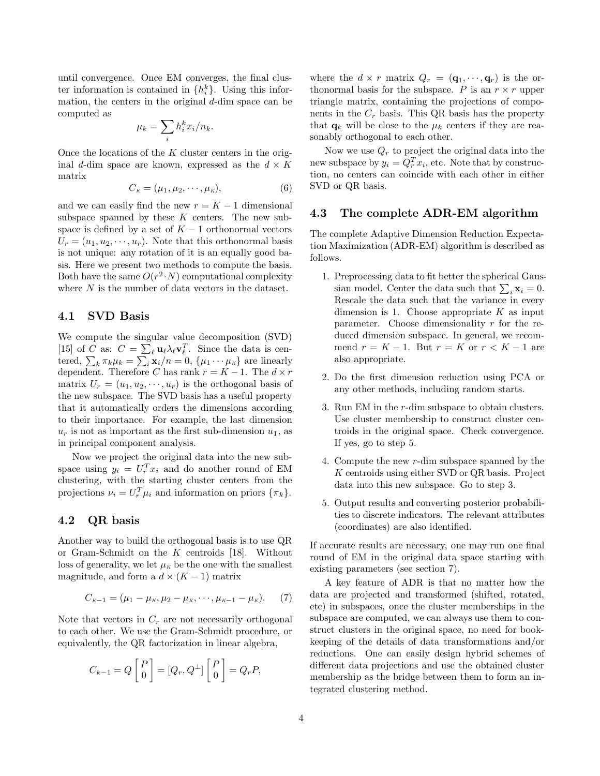until convergence. Once EM converges, the final cluster information is contained in  $\{h_i^k\}$ . Using this information, the centers in the original  $d$ -dim space can be computed as

$$
\mu_k = \sum_i h_i^k x_i / n_k.
$$

Once the locations of the  $K$  cluster centers in the original d-dim space are known, expressed as the  $d \times K$ matrix

$$
C_K = (\mu_1, \mu_2, \cdots, \mu_K), \tag{6}
$$

and we can easily find the new  $r = K - 1$  dimensional subspace spanned by these  $K$  centers. The new subspace is defined by a set of  $K - 1$  orthonormal vectors  $U_r = (u_1, u_2, \dots, u_r)$ . Note that this orthonormal basis is not unique: any rotation of it is an equally good basis. Here we present two methods to compute the basis. Both have the same  $O(r^2 \cdot N)$  computational complexity where  $N$  is the number of data vectors in the dataset.

### 4.1 SVD Basis

We compute the singular value decomposition (SVD) [15] of C as:  $C = \sum_{\ell} \mathbf{u}_{\ell} \lambda_{\ell} \mathbf{v}_{\ell}^T$ . Since the data is centered,  $\sum_{k} \pi_{k} \mu_{k} = \sum_{i} \mathbf{x}_{i}/n = 0$ ,  $\{\mu_{1} \cdots \mu_{K}\}\$ are linearly dependent. Therefore C has rank  $r = K - 1$ . The  $d \times r$ matrix  $U_r = (u_1, u_2, \dots, u_r)$  is the orthogonal basis of the new subspace. The SVD basis has a useful property that it automatically orders the dimensions according to their importance. For example, the last dimension  $u_r$  is not as important as the first sub-dimension  $u_1$ , as in principal component analysis.

Now we project the original data into the new subspace using  $y_i = U_r^T x_i$  and do another round of EM clustering, with the starting cluster centers from the projections  $\nu_i = U_r^T \mu_i$  and information on priors  $\{\pi_k\}.$ 

### 4.2 QR basis

Another way to build the orthogonal basis is to use QR or Gram-Schmidt on the K centroids [18]. Without loss of generality, we let  $\mu_K$  be the one with the smallest magnitude, and form a  $d \times (K - 1)$  matrix

$$
C_{K-1} = (\mu_1 - \mu_K, \mu_2 - \mu_K, \cdots, \mu_{K-1} - \mu_K). \tag{7}
$$

Note that vectors in  $C_r$  are not necessarily orthogonal to each other. We use the Gram-Schmidt procedure, or equivalently, the QR factorization in linear algebra,

$$
C_{k-1} = Q \begin{bmatrix} P \\ 0 \end{bmatrix} = [Q_r, Q^{\perp}] \begin{bmatrix} P \\ 0 \end{bmatrix} = Q_r P,
$$

where the  $d \times r$  matrix  $Q_r = (\mathbf{q}_1, \dots, \mathbf{q}_r)$  is the orthonormal basis for the subspace. P is an  $r \times r$  upper triangle matrix, containing the projections of components in the  $C_r$  basis. This QR basis has the property that  $\mathbf{q}_k$  will be close to the  $\mu_k$  centers if they are reasonably orthogonal to each other.

Now we use  $Q_r$  to project the original data into the new subspace by  $y_i = Q_r^T x_i$ , etc. Note that by construction, no centers can coincide with each other in either SVD or QR basis.

#### 4.3 The complete ADR-EM algorithm

The complete Adaptive Dimension Reduction Expectation Maximization (ADR-EM) algorithm is described as follows.

- 1. Preprocessing data to fit better the spherical Gaussian model. Center the data such that  $\sum_i \mathbf{x}_i = 0$ . Rescale the data such that the variance in every dimension is 1. Choose appropriate  $K$  as input parameter. Choose dimensionality  $r$  for the reduced dimension subspace. In general, we recommend  $r = K - 1$ . But  $r = K$  or  $r < K - 1$  are also appropriate.
- 2. Do the first dimension reduction using PCA or any other methods, including random starts.
- 3. Run EM in the r-dim subspace to obtain clusters. Use cluster membership to construct cluster centroids in the original space. Check convergence. If yes, go to step 5.
- 4. Compute the new r-dim subspace spanned by the K centroids using either SVD or QR basis. Project data into this new subspace. Go to step 3.
- 5. Output results and converting posterior probabilities to discrete indicators. The relevant attributes (coordinates) are also identified.

If accurate results are necessary, one may run one final round of EM in the original data space starting with existing parameters (see section 7).

A key feature of ADR is that no matter how the data are projected and transformed (shifted, rotated, etc) in subspaces, once the cluster memberships in the subspace are computed, we can always use them to construct clusters in the original space, no need for bookkeeping of the details of data transformations and/or reductions. One can easily design hybrid schemes of different data projections and use the obtained cluster membership as the bridge between them to form an integrated clustering method.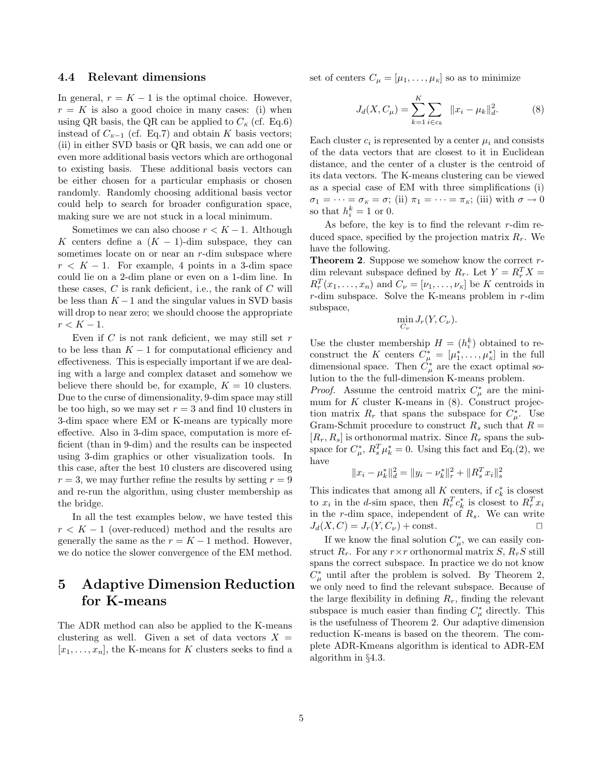#### 4.4 Relevant dimensions

In general,  $r = K - 1$  is the optimal choice. However,  $r = K$  is also a good choice in many cases: (i) when using QR basis, the QR can be applied to  $C_K$  (cf. Eq.6) instead of  $C_{K-1}$  (cf. Eq.7) and obtain K basis vectors; (ii) in either SVD basis or QR basis, we can add one or even more additional basis vectors which are orthogonal to existing basis. These additional basis vectors can be either chosen for a particular emphasis or chosen randomly. Randomly choosing additional basis vector could help to search for broader configuration space, making sure we are not stuck in a local minimum.

Sometimes we can also choose  $r < K - 1$ . Although K centers define a  $(K - 1)$ -dim subspace, they can sometimes locate on or near an r-dim subspace where  $r < K - 1$ . For example, 4 points in a 3-dim space could lie on a 2-dim plane or even on a 1-dim line. In these cases,  $C$  is rank deficient, i.e., the rank of  $C$  will be less than  $K - 1$  and the singular values in SVD basis will drop to near zero; we should choose the appropriate  $r < K - 1$ .

Even if  $C$  is not rank deficient, we may still set  $r$ to be less than  $K - 1$  for computational efficiency and effectiveness. This is especially important if we are dealing with a large and complex dataset and somehow we believe there should be, for example,  $K = 10$  clusters. Due to the curse of dimensionality, 9-dim space may still be too high, so we may set  $r = 3$  and find 10 clusters in 3-dim space where EM or K-means are typically more effective. Also in 3-dim space, computation is more efficient (than in 9-dim) and the results can be inspected using 3-dim graphics or other visualization tools. In this case, after the best 10 clusters are discovered using  $r = 3$ , we may further refine the results by setting  $r = 9$ and re-run the algorithm, using cluster membership as the bridge.

In all the test examples below, we have tested this  $r < K - 1$  (over-reduced) method and the results are generally the same as the  $r = K - 1$  method. However, we do notice the slower convergence of the EM method.

# 5 Adaptive Dimension Reduction for K-means

The ADR method can also be applied to the K-means clustering as well. Given a set of data vectors  $X =$  $[x_1, \ldots, x_n]$ , the K-means for K clusters seeks to find a set of centers  $C_{\mu} = [\mu_1, \ldots, \mu_k]$  so as to minimize

$$
J_d(X, C_\mu) = \sum_{k=1}^K \sum_{i \in c_k} ||x_i - \mu_k||_d^2.
$$
 (8)

Each cluster  $c_i$  is represented by a center  $\mu_i$  and consists of the data vectors that are closest to it in Euclidean distance, and the center of a cluster is the centroid of its data vectors. The K-means clustering can be viewed as a special case of EM with three simplifications (i)  $\sigma_1 = \cdots = \sigma_K = \sigma$ ; (ii)  $\pi_1 = \cdots = \pi_K$ ; (iii) with  $\sigma \to 0$ so that  $h_i^k = 1$  or 0.

As before, the key is to find the relevant  $r$ -dim reduced space, specified by the projection matrix  $R_r$ . We have the following.

**Theorem 2.** Suppose we somehow know the correct  $r$ dim relevant subspace defined by  $R_r$ . Let  $Y = R_r^T X =$  $R_r^T(x_1,\ldots,x_n)$  and  $C_\nu = [\nu_1,\ldots,\nu_\kappa]$  be K centroids in  $r$ -dim subspace. Solve the K-means problem in  $r$ -dim subspace,

$$
\min_{C_{\nu}} J_r(Y, C_{\nu}).
$$

Use the cluster membership  $H = (h_i^k)$  obtained to reconstruct the K centers  $C^*_{\mu} = [\mu_1^*, \ldots, \mu_K^*]$  in the full dimensional space. Then  $\dot{C}_{\mu}^{*}$  are the exact optimal solution to the the full-dimension K-means problem.

*Proof.* Assume the centroid matrix  $C^*_{\mu}$  are the minimum for  $K$  cluster K-means in  $(8)$ . Construct projection matrix  $R_r$  that spans the subspace for  $C^*_{\mu}$ . Use Gram-Schmit procedure to construct  $R_s$  such that  $R =$  $[R_r, R_s]$  is orthonormal matrix. Since  $R_r$  spans the subspace for  $C_{\mu}^{*}$ ,  $R_{s}^{T} \mu_{k}^{*} = 0$ . Using this fact and Eq.(2), we have

$$
||x_i - \mu_k^*||_d^2 = ||y_i - \nu_k^*||_r^2 + ||R_s^T x_i||_s^2
$$

This indicates that among all K centers, if  $c_k^*$  is closest to  $x_i$  in the d-sim space, then  $R_r^T c_k^*$  is closest to  $R_r^T x_i$ in the r-dim space, independent of  $R_s$ . We can write  $J_d(X, C) = J_r(Y, C_\nu) + \text{const.}$ 

If we know the final solution  $C^*_{\mu}$ , we can easily construct  $R_r$ . For any  $r \times r$  orthonormal matrix  $S$ ,  $R_rS$  still spans the correct subspace. In practice we do not know  $C^*_{\mu}$  until after the problem is solved. By Theorem 2, we only need to find the relevant subspace. Because of the large flexibility in defining  $R_r$ , finding the relevant subspace is much easier than finding  $C^*_{\mu}$  directly. This is the usefulness of Theorem 2. Our adaptive dimension reduction K-means is based on the theorem. The complete ADR-Kmeans algorithm is identical to ADR-EM algorithm in §4.3.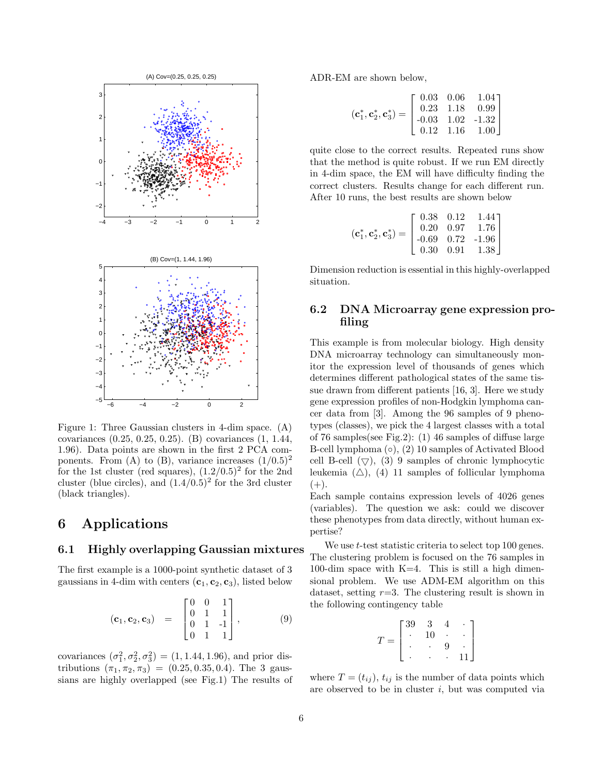

Figure 1: Three Gaussian clusters in 4-dim space. (A) covariances (0.25, 0.25, 0.25). (B) covariances (1, 1.44, 1.96). Data points are shown in the first 2 PCA components. From (A) to (B), variance increases  $(1/0.5)^2$ for the 1st cluster (red squares),  $(1.2/0.5)^2$  for the 2nd cluster (blue circles), and  $(1.4/0.5)^2$  for the 3rd cluster (black triangles).

# 6 Applications

### 6.1 Highly overlapping Gaussian mixtures

The first example is a 1000-point synthetic dataset of 3 gaussians in 4-dim with centers  $(c_1, c_2, c_3)$ , listed below

$$
(\mathbf{c}_1, \mathbf{c}_2, \mathbf{c}_3) = \begin{bmatrix} 0 & 0 & 1 \\ 0 & 1 & 1 \\ 0 & 1 & -1 \\ 0 & 1 & 1 \end{bmatrix}, \quad (9)
$$

covariances  $(\sigma_1^2, \sigma_2^2, \sigma_3^2) = (1, 1.44, 1.96)$ , and prior distributions  $(\pi_1, \pi_2, \pi_3) = (0.25, 0.35, 0.4)$ . The 3 gaussians are highly overlapped (see Fig.1) The results of ADR-EM are shown below,

$$
(\mathbf{c}_1^*, \mathbf{c}_2^*, \mathbf{c}_3^*) = \begin{bmatrix} 0.03 & 0.06 & 1.04 \\ 0.23 & 1.18 & 0.99 \\ -0.03 & 1.02 & -1.32 \\ 0.12 & 1.16 & 1.00 \end{bmatrix}
$$

quite close to the correct results. Repeated runs show that the method is quite robust. If we run EM directly in 4-dim space, the EM will have difficulty finding the correct clusters. Results change for each different run. After 10 runs, the best results are shown below

$$
(\mathbf{c}_1^*, \mathbf{c}_2^*, \mathbf{c}_3^*) = \begin{bmatrix} 0.38 & 0.12 & 1.44 \\ 0.20 & 0.97 & 1.76 \\ -0.69 & 0.72 & -1.96 \\ 0.30 & 0.91 & 1.38 \end{bmatrix}
$$

Dimension reduction is essential in this highly-overlapped situation.

### 6.2 DNA Microarray gene expression profiling

This example is from molecular biology. High density DNA microarray technology can simultaneously monitor the expression level of thousands of genes which determines different pathological states of the same tissue drawn from different patients [16, 3]. Here we study gene expression profiles of non-Hodgkin lymphoma cancer data from [3]. Among the 96 samples of 9 phenotypes (classes), we pick the 4 largest classes with a total of 76 samples(see Fig.2): (1) 46 samples of diffuse large B-cell lymphoma (◦), (2) 10 samples of Activated Blood cell B-cell  $(\nabla)$ , (3) 9 samples of chronic lymphocytic leukemia  $(\triangle)$ , (4) 11 samples of follicular lymphoma  $(+).$ 

Each sample contains expression levels of 4026 genes (variables). The question we ask: could we discover these phenotypes from data directly, without human expertise?

We use *t*-test statistic criteria to select top 100 genes. The clustering problem is focused on the 76 samples in 100-dim space with  $K=4$ . This is still a high dimensional problem. We use ADM-EM algorithm on this dataset, setting  $r=3$ . The clustering result is shown in the following contingency table

$$
T = \begin{bmatrix} 39 & 3 & 4 & & \\ . & 10 & . & \\ . & . & 9 & \\ . & . & . & 11 \end{bmatrix}
$$

where  $T = (t_{ij})$ ,  $t_{ij}$  is the number of data points which are observed to be in cluster  $i$ , but was computed via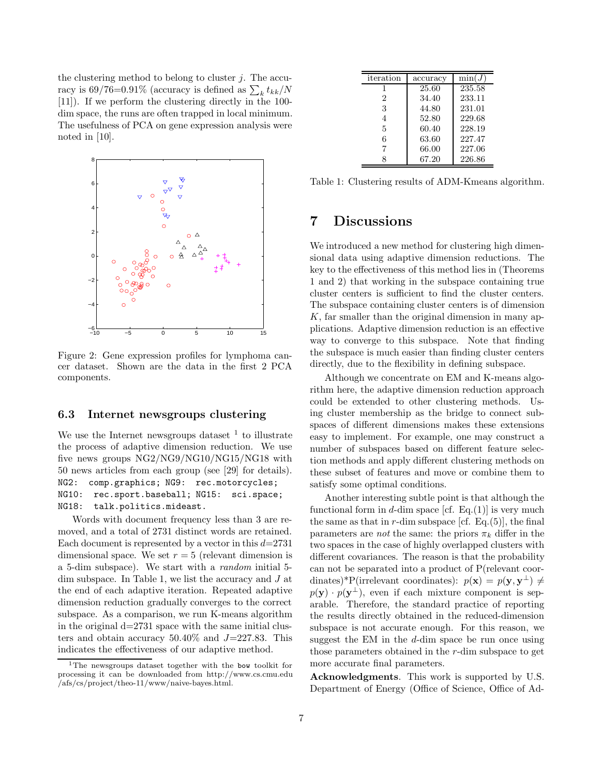the clustering method to belong to cluster  $j$ . The accuracy is 69/76=0.91% (accuracy is defined as  $\sum_{k} t_{kk}/N$ [11]). If we perform the clustering directly in the 100 dim space, the runs are often trapped in local minimum. The usefulness of PCA on gene expression analysis were noted in [10].



Figure 2: Gene expression profiles for lymphoma cancer dataset. Shown are the data in the first 2 PCA components.

### 6.3 Internet newsgroups clustering

We use the Internet newsgroups dataset  $<sup>1</sup>$  to illustrate</sup> the process of adaptive dimension reduction. We use five news groups NG2/NG9/NG10/NG15/NG18 with 50 news articles from each group (see [29] for details). NG2: comp.graphics; NG9: rec.motorcycles; NG10: rec.sport.baseball; NG15: sci.space; NG18: talk.politics.mideast.

Words with document frequency less than 3 are removed, and a total of 2731 distinct words are retained. Each document is represented by a vector in this  $d=2731$ dimensional space. We set  $r = 5$  (relevant dimension is a 5-dim subspace). We start with a random initial 5 dim subspace. In Table 1, we list the accuracy and J at the end of each adaptive iteration. Repeated adaptive dimension reduction gradually converges to the correct subspace. As a comparison, we run K-means algorithm in the original  $d=2731$  space with the same initial clusters and obtain accuracy  $50.40\%$  and  $J=227.83$ . This indicates the effectiveness of our adaptive method.

| iteration      | accuracy | $\min(J$ |
|----------------|----------|----------|
| 1              | 25.60    | 235.58   |
| $\mathfrak{D}$ | 34.40    | 233.11   |
| 3              | 44.80    | 231.01   |
| 4              | 52.80    | 229.68   |
| 5              | 60.40    | 228.19   |
| 6              | 63.60    | 227.47   |
| 7              | 66.00    | 227.06   |
|                | 67.20    | 226.86   |

Table 1: Clustering results of ADM-Kmeans algorithm.

### 7 Discussions

We introduced a new method for clustering high dimensional data using adaptive dimension reductions. The key to the effectiveness of this method lies in (Theorems 1 and 2) that working in the subspace containing true cluster centers is sufficient to find the cluster centers. The subspace containing cluster centers is of dimension  $K$ , far smaller than the original dimension in many applications. Adaptive dimension reduction is an effective way to converge to this subspace. Note that finding the subspace is much easier than finding cluster centers directly, due to the flexibility in defining subspace.

Although we concentrate on EM and K-means algorithm here, the adaptive dimension reduction approach could be extended to other clustering methods. Using cluster membership as the bridge to connect subspaces of different dimensions makes these extensions easy to implement. For example, one may construct a number of subspaces based on different feature selection methods and apply different clustering methods on these subset of features and move or combine them to satisfy some optimal conditions.

Another interesting subtle point is that although the functional form in d-dim space [cf. Eq.(1)] is very much the same as that in  $r$ -dim subspace [cf. Eq.(5)], the final parameters are *not* the same: the priors  $\pi_k$  differ in the two spaces in the case of highly overlapped clusters with different covariances. The reason is that the probability can not be separated into a product of P(relevant coordinates)\*P(irrelevant coordinates):  $p(\mathbf{x}) = p(\mathbf{y}, \mathbf{y}^{\perp}) \neq$  $p(\mathbf{y}) \cdot p(\mathbf{y}^{\perp})$ , even if each mixture component is separable. Therefore, the standard practice of reporting the results directly obtained in the reduced-dimension subspace is not accurate enough. For this reason, we suggest the EM in the d-dim space be run once using those parameters obtained in the r-dim subspace to get more accurate final parameters.

Acknowledgments. This work is supported by U.S. Department of Energy (Office of Science, Office of Ad-

<sup>&</sup>lt;sup>1</sup>The newsgroups dataset together with the bow toolkit for processing it can be downloaded from http://www.cs.cmu.edu /afs/cs/project/theo-11/www/naive-bayes.html.